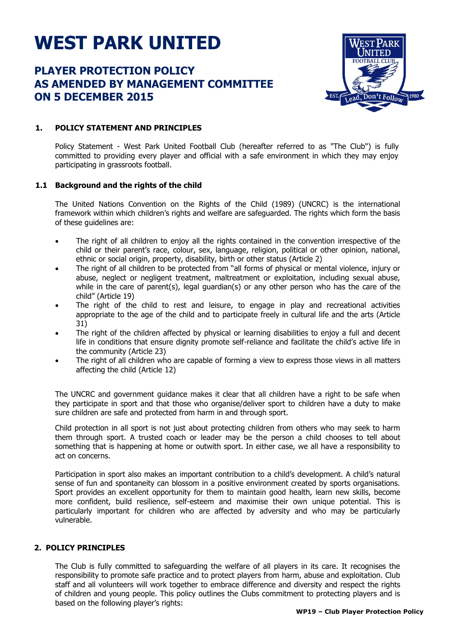# **WEST PARK UNITED**

### **PLAYER PROTECTION POLICY AS AMENDED BY MANAGEMENT COMMITTEE ON 5 DECEMBER 2015**



#### **1. POLICY STATEMENT AND PRINCIPLES**

Policy Statement - West Park United Football Club (hereafter referred to as "The Club") is fully committed to providing every player and official with a safe environment in which they may enjoy participating in grassroots football.

#### **1.1 Background and the rights of the child**

The United Nations Convention on the Rights of the Child (1989) (UNCRC) is the international framework within which children's rights and welfare are safeguarded. The rights which form the basis of these guidelines are:

- The right of all children to enjoy all the rights contained in the convention irrespective of the child or their parent's race, colour, sex, language, religion, political or other opinion, national, ethnic or social origin, property, disability, birth or other status (Article 2)
- The right of all children to be protected from "all forms of physical or mental violence, injury or abuse, neglect or negligent treatment, maltreatment or exploitation, including sexual abuse, while in the care of parent(s), legal guardian(s) or any other person who has the care of the child" (Article 19)
- The right of the child to rest and leisure, to engage in play and recreational activities appropriate to the age of the child and to participate freely in cultural life and the arts (Article 31)
- The right of the children affected by physical or learning disabilities to enjoy a full and decent life in conditions that ensure dignity promote self-reliance and facilitate the child's active life in the community (Article 23)
- The right of all children who are capable of forming a view to express those views in all matters affecting the child (Article 12)

The UNCRC and government guidance makes it clear that all children have a right to be safe when they participate in sport and that those who organise/deliver sport to children have a duty to make sure children are safe and protected from harm in and through sport.

Child protection in all sport is not just about protecting children from others who may seek to harm them through sport. A trusted coach or leader may be the person a child chooses to tell about something that is happening at home or outwith sport. In either case, we all have a responsibility to act on concerns.

Participation in sport also makes an important contribution to a child's development. A child's natural sense of fun and spontaneity can blossom in a positive environment created by sports organisations. Sport provides an excellent opportunity for them to maintain good health, learn new skills, become more confident, build resilience, self-esteem and maximise their own unique potential. This is particularly important for children who are affected by adversity and who may be particularly vulnerable.

#### **2. POLICY PRINCIPLES**

The Club is fully committed to safeguarding the welfare of all players in its care. It recognises the responsibility to promote safe practice and to protect players from harm, abuse and exploitation. Club staff and all volunteers will work together to embrace difference and diversity and respect the rights of children and young people. This policy outlines the Clubs commitment to protecting players and is based on the following player's rights: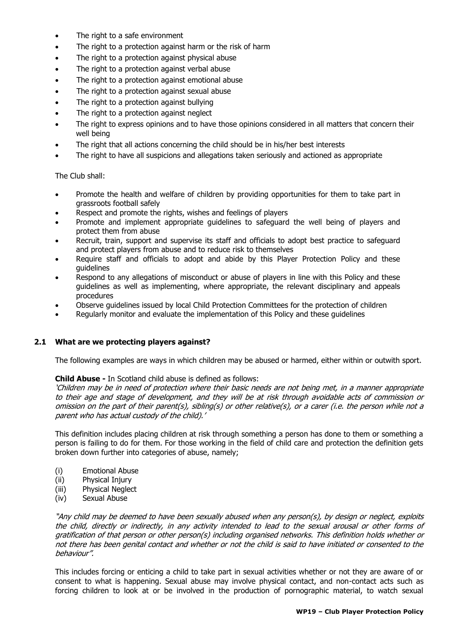- The right to a safe environment
- The right to a protection against harm or the risk of harm
- The right to a protection against physical abuse
- The right to a protection against verbal abuse
- The right to a protection against emotional abuse
- The right to a protection against sexual abuse
- The right to a protection against bullying
- The right to a protection against neglect
- The right to express opinions and to have those opinions considered in all matters that concern their well being
- The right that all actions concerning the child should be in his/her best interests
- The right to have all suspicions and allegations taken seriously and actioned as appropriate

The Club shall:

- Promote the health and welfare of children by providing opportunities for them to take part in grassroots football safely
- Respect and promote the rights, wishes and feelings of players
- Promote and implement appropriate guidelines to safeguard the well being of players and protect them from abuse
- Recruit, train, support and supervise its staff and officials to adopt best practice to safeguard and protect players from abuse and to reduce risk to themselves
- Require staff and officials to adopt and abide by this Player Protection Policy and these guidelines
- Respond to any allegations of misconduct or abuse of players in line with this Policy and these guidelines as well as implementing, where appropriate, the relevant disciplinary and appeals procedures
- Observe guidelines issued by local Child Protection Committees for the protection of children
- Regularly monitor and evaluate the implementation of this Policy and these guidelines

#### **2.1 What are we protecting players against?**

The following examples are ways in which children may be abused or harmed, either within or outwith sport.

#### **Child Abuse -** In Scotland child abuse is defined as follows:

'Children may be in need of protection where their basic needs are not being met, in a manner appropriate to their age and stage of development, and they will be at risk through avoidable acts of commission or omission on the part of their parent(s), sibling(s) or other relative(s), or a carer (i.e. the person while not a parent who has actual custody of the child).'

This definition includes placing children at risk through something a person has done to them or something a person is failing to do for them. For those working in the field of child care and protection the definition gets broken down further into categories of abuse, namely;

- (i) Emotional Abuse
- (ii) Physical Injury
- (iii) Physical Neglect
- (iv) Sexual Abuse

"Any child may be deemed to have been sexually abused when any person(s), by design or neglect, exploits the child, directly or indirectly, in any activity intended to lead to the sexual arousal or other forms of gratification of that person or other person(s) including organised networks. This definition holds whether or not there has been genital contact and whether or not the child is said to have initiated or consented to the behaviour".

This includes forcing or enticing a child to take part in sexual activities whether or not they are aware of or consent to what is happening. Sexual abuse may involve physical contact, and non-contact acts such as forcing children to look at or be involved in the production of pornographic material, to watch sexual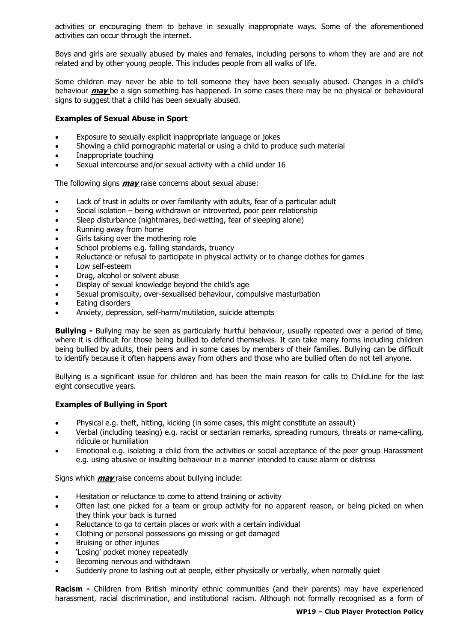activities or encouraging them to behave in sexually inappropriate ways. Some of the aforementioned activities can occur through the internet.

Boys and girls are sexually abused by males and females, including persons to whom they are and are not related and by other young people. This includes people from all walks of life.

Some children may never be able to tell someone they have been sexually abused. Changes in a child's behaviour **may** be a sign something has happened. In some cases there may be no physical or behavioural signs to suggest that a child has been sexually abused.

#### **Examples of Sexual Abuse in Sport**

- Exposure to sexually explicit inappropriate language or jokes
- Showing a child pornographic material or using a child to produce such material
- Inappropriate touching
- Sexual intercourse and/or sexual activity with a child under 16

The following signs **may** raise concerns about sexual abuse:

- Lack of trust in adults or over familiarity with adults, fear of a particular adult
- Social isolation being withdrawn or introverted, poor peer relationship
- Sleep disturbance (nightmares, bed-wetting, fear of sleeping alone)
- Running away from home
- Girls taking over the mothering role
- School problems e.g. falling standards, truancy
- Reluctance or refusal to participate in physical activity or to change clothes for games
- Low self-esteem
- Drug, alcohol or solvent abuse
- Display of sexual knowledge beyond the child's age
- Sexual promiscuity, over-sexualised behaviour, compulsive masturbation
- Eating disorders
- Anxiety, depression, self-harm/mutilation, suicide attempts

**Bullying -** Bullying may be seen as particularly hurtful behaviour, usually repeated over a period of time, where it is difficult for those being bullied to defend themselves. It can take many forms including children being bullied by adults, their peers and in some cases by members of their families. Bullying can be difficult to identify because it often happens away from others and those who are bullied often do not tell anyone.

Bullying is a significant issue for children and has been the main reason for calls to ChildLine for the last eight consecutive years.

#### **Examples of Bullying in Sport**

- Physical e.g. theft, hitting, kicking (in some cases, this might constitute an assault)
- Verbal (including teasing) e.g. racist or sectarian remarks, spreading rumours, threats or name-calling, ridicule or humiliation
- Emotional e.g. isolating a child from the activities or social acceptance of the peer group Harassment e.g. using abusive or insulting behaviour in a manner intended to cause alarm or distress

Signs which **may** raise concerns about bullying include:

- Hesitation or reluctance to come to attend training or activity
- Often last one picked for a team or group activity for no apparent reason, or being picked on when they think your back is turned
- Reluctance to go to certain places or work with a certain individual
- Clothing or personal possessions go missing or get damaged
- Bruising or other injuries
- 'Losing' pocket money repeatedly
- Becoming nervous and withdrawn
- Suddenly prone to lashing out at people, either physically or verbally, when normally quiet

**Racism -** Children from British minority ethnic communities (and their parents) may have experienced harassment, racial discrimination, and institutional racism. Although not formally recognised as a form of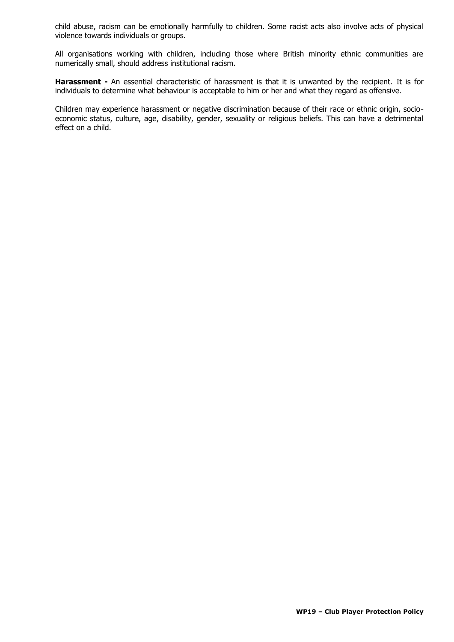child abuse, racism can be emotionally harmfully to children. Some racist acts also involve acts of physical violence towards individuals or groups.

All organisations working with children, including those where British minority ethnic communities are numerically small, should address institutional racism.

Harassment - An essential characteristic of harassment is that it is unwanted by the recipient. It is for individuals to determine what behaviour is acceptable to him or her and what they regard as offensive.

Children may experience harassment or negative discrimination because of their race or ethnic origin, socioeconomic status, culture, age, disability, gender, sexuality or religious beliefs. This can have a detrimental effect on a child.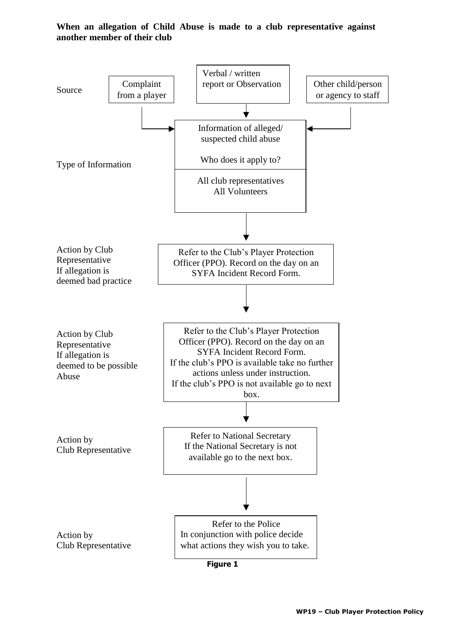#### **When an allegation of Child Abuse is made to a club representative against another member of their club**